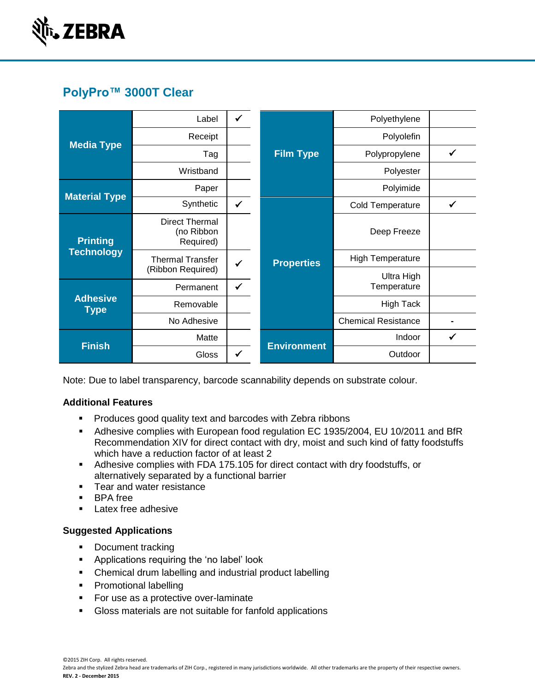

# **PolyPro™ 3000T Clear**

| <b>Media Type</b>                    | Label                                            | $\checkmark$ |                    | Polyethylene               |              |
|--------------------------------------|--------------------------------------------------|--------------|--------------------|----------------------------|--------------|
|                                      | Receipt                                          |              |                    | Polyolefin                 |              |
|                                      | Tag                                              |              | <b>Film Type</b>   | Polypropylene              | ✓            |
|                                      | Wristband                                        |              |                    | Polyester                  |              |
| <b>Material Type</b>                 | Paper                                            |              |                    | Polyimide                  |              |
|                                      | Synthetic                                        | $\checkmark$ |                    | <b>Cold Temperature</b>    | $\checkmark$ |
| <b>Printing</b><br><b>Technology</b> | <b>Direct Thermal</b><br>(no Ribbon<br>Required) |              |                    | Deep Freeze                |              |
|                                      | <b>Thermal Transfer</b><br>(Ribbon Required)     |              | <b>Properties</b>  | <b>High Temperature</b>    |              |
| <b>Adhesive</b><br><b>Type</b>       | Permanent                                        | $\checkmark$ |                    | Ultra High<br>Temperature  |              |
|                                      | Removable                                        |              |                    | <b>High Tack</b>           |              |
|                                      | No Adhesive                                      |              |                    | <b>Chemical Resistance</b> |              |
| <b>Finish</b>                        | Matte                                            |              | <b>Environment</b> | Indoor                     | $\checkmark$ |
|                                      | Gloss                                            | ✓            |                    | Outdoor                    |              |

Note: Due to label transparency, barcode scannability depends on substrate colour.

## **Additional Features**

- **Produces good quality text and barcodes with Zebra ribbons**
- Adhesive complies with European food regulation EC 1935/2004, EU 10/2011 and BfR Recommendation XIV for direct contact with dry, moist and such kind of fatty foodstuffs which have a reduction factor of at least 2
- Adhesive complies with FDA 175.105 for direct contact with dry foodstuffs, or alternatively separated by a functional barrier
- **Tear and water resistance**
- **BPA** free
- **Latex free adhesive**

## **Suggested Applications**

- Document tracking
- **Applications requiring the 'no label' look**
- Chemical drum labelling and industrial product labelling
- **Promotional labelling**
- **For use as a protective over-laminate**
- Gloss materials are not suitable for fanfold applications